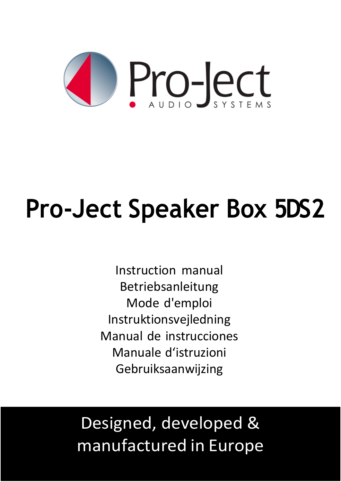

# **Pro-Ject Speaker Box 5DS2**

Instruction manual Betriebsanleitung Mode d'emploi Instruktionsvejledning Manual de instrucciones Manuale d'istruzioni Gebruiksaanwijzing

# Designed, developed & manufactured in Europe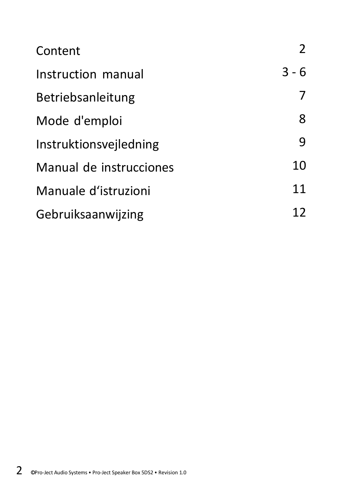| Content                 | 2       |
|-------------------------|---------|
| Instruction manual      | $3 - 6$ |
| Betriebsanleitung       | 7       |
| Mode d'emploi           | 8       |
| Instruktionsvejledning  | 9       |
| Manual de instrucciones | 10      |
| Manuale d'istruzioni    | 11      |
| Gebruiksaanwijzing      | 12      |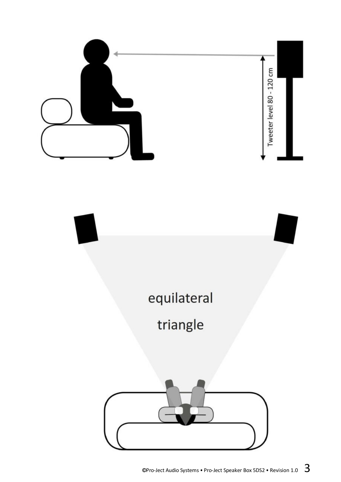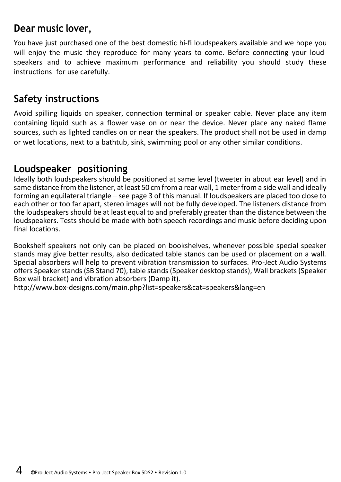#### **Dear music lover,**

You have just purchased one of the best domestic hi-fi loudspeakers available and we hope you will enjoy the music they reproduce for many years to come. Before connecting your loudspeakers and to achieve maximum performance and reliability you should study these instructions for use carefully.

# **Safety instructions**

Avoid spilling liquids on speaker, connection terminal or speaker cable. Never place any item containing liquid such as a flower vase on or near the device. Never place any naked flame sources, such as lighted candles on or near the speakers. The product shall not be used in damp or wet locations, next to a bathtub, sink, swimming pool or any other similar conditions.

# **Loudspeaker positioning**

Ideally both loudspeakers should be positioned at same level (tweeter in about ear level) and in same distance from the listener, at least 50 cm from a rear wall, 1 meter from a side wall and ideally forming an equilateral triangle – see page 3 of this manual. If loudspeakers are placed too close to each other or too far apart, stereo images will not be fully developed. The listeners distance from the loudspeakers should be at least equal to and preferably greater than the distance between the loudspeakers. Tests should be made with both speech recordings and music before deciding upon final locations.

Bookshelf speakers not only can be placed on bookshelves, whenever possible special speaker stands may give better results, also dedicated table stands can be used or placement on a wall. Special absorbers will help to prevent vibration transmission to surfaces. Pro-Ject Audio Systems offers Speaker stands (SB Stand 70), table stands (Speaker desktop stands), Wall brackets (Speaker Box wall bracket) and vibration absorbers (Damp it).

<http://www.box-designs.com/main.php?list=speakers&cat=speakers&lang=en>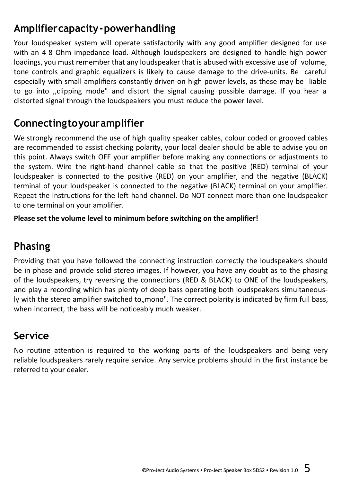# **Amplifiercapacity-powerhandling**

Your loudspeaker system will operate satisfactorily with any good amplifier designed for use with an 4-8 Ohm impedance load. Although loudspeakers are designed to handle high power loadings, you must remember that any loudspeaker that is abused with excessive use of volume, tone controls and graphic equalizers is likely to cause damage to the drive-units. Be careful especially with small amplifiers constantly driven on high power levels, as these may be liable to go into ,,clipping mode" and distort the signal causing possible damage. If you hear a distorted signal through the loudspeakers you must reduce the power level.

# **Connectingtoyouramplifier**

We strongly recommend the use of high quality speaker cables, colour coded or grooved cables are recommended to assist checking polarity, your local dealer should be able to advise you on this point. Always switch OFF your amplifier before making any connections or adjustments to the system. Wire the right-hand channel cable so that the positive (RED) terminal of your loudspeaker is connected to the positive (RED) on your amplifier, and the negative (BLACK) terminal of your loudspeaker is connected to the negative (BLACK) terminal on your amplifier. Repeat the instructions for the left-hand channel. Do NOT connect more than one loudspeaker to one terminal on your amplifier.

**Please set the volume level to minimum before switching on the amplifier!**

# **Phasing**

Providing that you have followed the connecting instruction correctly the loudspeakers should be in phase and provide solid stereo images. If however, you have any doubt as to the phasing of the loudspeakers, try reversing the connections (RED & BLACK) to ONE of the loudspeakers, and play a recording which has plenty of deep bass operating both loudspeakers simultaneously with the stereo amplifier switched to "mono". The correct polarity is indicated by firm full bass, when incorrect, the bass will be noticeably much weaker.

# **Service**

No routine attention is required to the working parts of the loudspeakers and being very reliable loudspeakers rarely require service. Any service problems should in the first instance be referred to your dealer.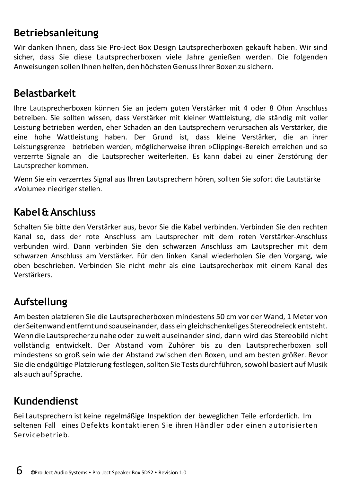# **Betriebsanleitung**

Wir danken Ihnen, dass Sie Pro-Ject Box Design Lautsprecherboxen gekauft haben. Wir sind sicher, dass Sie diese Lautsprecherboxen viele Jahre genießen werden. Die folgenden Anweisungen sollen Ihnen helfen, den höchstenGenussIhrer Boxenzu sichern.

#### **Belastbarkeit**

Ihre Lautsprecherboxen können Sie an jedem guten Verstärker mit 4 oder 8 Ohm Anschluss betreiben. Sie sollten wissen, dass Verstärker mit kleiner Wattleistung, die ständig mit voller Leistung betrieben werden, eher Schaden an den Lautsprechern verursachen als Verstärker, die eine hohe Wattleistung haben. Der Grund ist, dass kleine Verstärker, die an ihrer Leistungsgrenze betrieben werden, möglicherweise ihren »Clipping«-Bereich erreichen und so verzerrte Signale an die Lautsprecher weiterleiten. Es kann dabei zu einer Zerstörung der Lautsprecher kommen.

Wenn Sie ein verzerrtes Signal aus Ihren Lautsprechern hören, sollten Sie sofort die Lautstärke »Volume« niedriger stellen.

# **Kabel&Anschluss**

Schalten Sie bitte den Verstärker aus, bevor Sie die Kabel verbinden. Verbinden Sie den rechten Kanal so, dass der rote Anschluss am Lautsprecher mit dem roten Verstärker-Anschluss verbunden wird. Dann verbinden Sie den schwarzen Anschluss am Lautsprecher mit dem schwarzen Anschluss am Verstärker. Für den linken Kanal wiederholen Sie den Vorgang, wie oben beschrieben. Verbinden Sie nicht mehr als eine Lautsprecherbox mit einem Kanal des Verstärkers.

# **Aufstellung**

Am besten platzieren Sie die Lautsprecherboxen mindestens 50 cm vor der Wand, 1 Meter von der Seitenwandentferntundsoauseinander, dass ein gleichschenkeliges Stereodreieck entsteht. WenndieLautsprecherzunahe oder zuweit auseinander sind, dann wird das Stereobild nicht vollständig entwickelt. Der Abstand vom Zuhörer bis zu den Lautsprecherboxen soll mindestens so groß sein wie der Abstand zwischen den Boxen, und am besten größer. Bevor Sie die endgültige Platzierung festlegen,sollten Sie Tests durchführen,sowohl basiert auf Musik als auch auf Sprache.

# **Kundendienst**

Bei Lautsprechern ist keine regelmäßige Inspektion der beweglichen Teile erforderlich. Im seltenen Fall eines Defekts kontaktieren Sie ihren Händler oder einen autorisierten Servicebetrieb.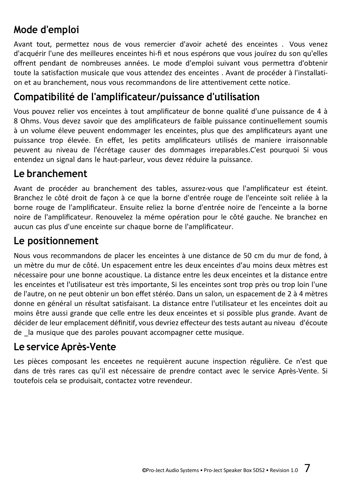# **Mode d'emploi**

Avant tout, permettez nous de vous remercier d'avoir acheté des enceintes . Vous venez d'acquérir l'une des meilleures enceintes hi-fi et nous espérons que vous jouïrez du son qu'elles offrent pendant de nombreuses années. Le mode d'emploi suivant vous permettra d'obtenir toute la satisfaction musicale que vous attendez des enceintes . Avant de procéder à l'installation et au branchement, nous vous recommandons de lire attentivement cette notice.

#### **Compatibilité de l'amplificateur/puissance d'utilisation**

Vous pouvez relier vos enceintes à tout amplificateur de bonne qualité d'une puissance de 4 à 8 Ohms. Vous devez savoir que des amplificateurs de faible puissance continuellement soumis à un volume éleve peuvent endommager les enceintes, plus que des amplificateurs ayant une puissance trop élevée. En effet, les petits amplificateurs utilisés de maniere irraisonnable peuvent au niveau de l'écrétage causer des dommages irreparables.C'est pourquoi Si vous entendez un signal dans le haut-parleur, vous devez réduire la puissance.

#### **Le branchement**

Avant de procéder au branchement des tables, assurez-vous que l'amplificateur est éteint. Branchez le côté droit de façon à ce que la borne d'entrée rouge de l'enceinte soit reliée à la borne rouge de l'amplificateur. Ensuite reliez la borne d'entrée noire de l'enceinte a la borne noire de l'amplificateur. Renouvelez la méme opération pour le côté gauche. Ne branchez en aucun cas plus d'une enceinte sur chaque borne de l'amplificateur.

# **Le positionnement**

Nous vous recommandons de placer les enceintes à une distance de 50 cm du mur de fond, à un mètre du mur de côté. Un espacement entre les deux enceintes d'au moins deux mètres est nécessaire pour une bonne acoustique. La distance entre les deux enceintes et la distance entre les enceintes et l'utilisateur est très importante, Si les enceintes sont trop près ou trop loin l'une de l'autre, on ne peut obtenir un bon effet stéréo. Dans un salon, un espacement de 2 à 4 mètres donne en général un résultat satisfaisant. La distance entre l'utilisateur et les enceintes doit au moins être aussi grande que celle entre les deux enceintes et si possible plus grande. Avant de décider de leur emplacement définitif, vous devriez effecteur des tests autant au niveau d'écoute de la musique que des paroles pouvant accompagner cette musique.

# **Le service Après-Vente**

Les pièces composant les enceetes ne requièrent aucune inspection régulière. Ce n'est que dans de très rares cas qu'il est nécessaire de prendre contact avec le service Après-Vente. Si toutefois cela se produisait, contactez votre revendeur.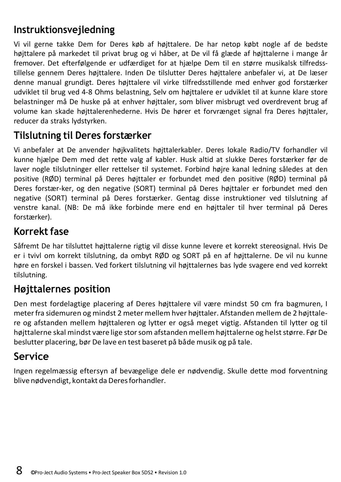# **Instruktionsvejledning**

Vi vil gerne takke Dem for Deres køb af højttalere. De har netop købt nogle af de bedste højttalere på markedet til privat brug og vi håber, at De vil få glæde af højttalerne i mange år fremover. Det efterfølgende er udfærdiget for at hjælpe Dem til en større musikalsk tilfredsstillelse gennem Deres højttalere. Inden De tilslutter Deres højttalere anbefaler vi, at De læser denne manual grundigt. Deres højttalere vil virke tilfredsstillende med enhver god forstærker udviklet til brug ved 4-8 Ohms belastning, Selv om højttalere er udviklet til at kunne klare store belastninger må De huske på at enhver højttaler, som bliver misbrugt ved overdrevent brug af volume kan skade højttalerenhederne. Hvis De hører et forvrænget signal fra Deres højttaler, reducer da straks lydstyrken.

# **Tilslutning til Deres forstærker**

Vi anbefaler at De anvender højkvalitets højttalerkabler. Deres lokale Radio/TV forhandler vil kunne hjælpe Dem med det rette valg af kabler. Husk altid at slukke Deres forstærker før de laver nogle tilslutninger eller rettelser til systemet. Forbind højre kanal ledning således at den positive (RØD) terminal på Deres højttaler er forbundet med den positive (RØD) terminal på Deres forstær-ker, og den negative (SORT) terminal på Deres højttaler er forbundet med den negative (SORT) terminal på Deres forstærker. Gentag disse instruktioner ved tilslutning af venstre kanal. (NB: De må ikke forbinde mere end en højttaler til hver terminal på Deres forstærker).

# **Korrekt fase**

Såfremt De har tilsluttet højttalerne rigtig vil disse kunne levere et korrekt stereosignal. Hvis De er i tvivl om korrekt tilslutning, da ombyt RØD og SORT på en af højttalerne. De vil nu kunne høre en forskel i bassen. Ved forkert tilslutning vil højttalernes bas lyde svagere end ved korrekt tilslutning.

# **Højttalernes position**

Den mest fordelagtige placering af Deres højttalere vil være mindst 50 cm fra bagmuren, I meterfra sidemuren og mindst 2 meter mellem hver højttaler. Afstanden mellem de 2 højttalere og afstanden mellem højttaleren og lytter er også meget vigtig. Afstanden til lytter og til højttalerne skal mindst være lige stor som afstanden mellem højttalerne og helst større. Før De beslutter placering, bør De lave en test baseret på både musik og på tale.

# **Service**

Ingen regelmæssig eftersyn af bevægelige dele er nødvendig. Skulle dette mod forventning blive nødvendigt, kontakt da Deresforhandler.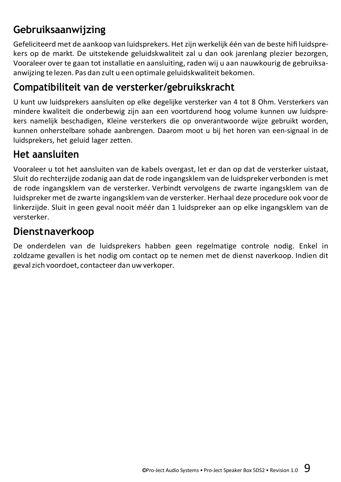# **Gebruiksaanwijzing**

Gefeliciteerd met de aankoop van luidsprekers. Hetzijn werkelijk één van de beste hifi luidsprekers op de markt. De uitstekende geluidskwaliteit zal u dan ook jarenlang plezier bezorgen, Vooraleer over te gaan tot installatie en aansluiting, raden wij u aan nauwkourig de gebruiksaanwijzing te lezen. Pas dan zult u een optimale geluidskwaliteit bekomen.

# **Compatibiliteit van de versterker/gebruikskracht**

U kunt uw luidsprekers aansluiten op elke degelijke versterker van 4 tot 8 Ohm. Versterkers van mindere kwaliteit die onderbewig zijn aan een voortdurend hoog volume kunnen uw luidsprekers namelijk beschadigen, Kleine versterkers die op onverantwoorde wijze gebruikt worden, kunnen onherstelbare sohade aanbrengen. Daarom moot u bij het horen van een-signaal in de luidsprekers, het geluid lager zetten.

# **Het aansluiten**

Vooraleer u tot het aansluiten van de kabels overgast, let er dan op dat de versterker uistaat, Sluit do rechterzijde zodanig aan dat de rode ingangsklem van de luidspreker verbonden is met de rode ingangsklem van de versterker. Verbindt vervolgens de zwarte ingangsklem van de luidspreker met de zwarte ingangsklem van de versterker. Herhaal deze procedure ook voor de linkerzijde. Sluit in geen geval nooit méér dan 1 luidspreker aan op elke ingangsklem van de versterker.

# **Dienstnaverkoop**

De onderdelen van de luidsprekers habben geen regelmatige controle nodig. Enkel in zoldzame gevallen is het nodig om contact op te nemen met de dienst naverkoop. Indien dit gevalzich voordoet, contacteer dan uw verkoper.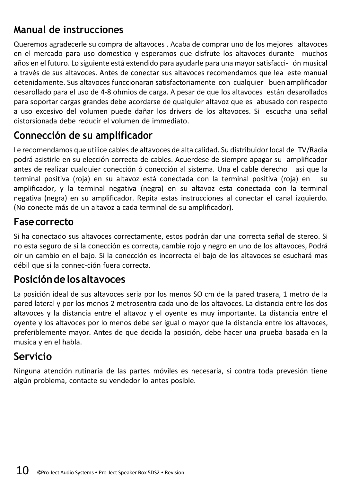# **Manual de instrucciones**

Queremos agradecerle su compra de altavoces . Acaba de comprar uno de los mejores altavoces en el mercado para uso domestico y esperamos que disfrute los altavoces durante muchos años en el futuro. Lo siguiente está extendido para ayudarle para una mayorsatisfacci- ón musical a través de sus altavoces. Antes de conectar sus altavoces recomendamos que lea este manual detenidamente. Sus altavoces funccionaran satisfactoriamente con cualquier buen amplificador desarollado para el uso de 4-8 ohmios de carga. A pesar de que los altavoces están desarollados para soportar cargas grandes debe acordarse de qualquier altavoz que es abusado con respecto a uso excesivo del volumen puede dañar los drivers de los altavoces. Si escucha una señal distorsionada debe reducir el volumen de immediato.

#### **Connección de su amplificador**

Le recomendamos que utilice cables de altavoces de alta calidad. Su distribuidor local de TV/Radia podrá asistirle en su elección correcta de cables. Acuerdese de siempre apagar su amplificador antes de realizar cualquier conección ó conección al sistema. Una el cable derecho asi que la terminal positiva (roja) en su altavoz está conectada con la terminal positiva (roja) en su amplificador, y la terminal negativa (negra) en su altavoz esta conectada con la terminal negativa (negra) en su amplificador. Repita estas instrucciones al conectar el canal izquierdo. (No conecte más de un altavoz a cada terminal de su amplificador).

#### **Fasecorrecto**

Si ha conectado sus altavoces correctamente, estos podrán dar una correcta señal de stereo. Si no esta seguro de si la conección es correcta, cambie rojo y negro en uno de los altavoces, Podrá oir un cambio en el bajo. Si la conección es incorrecta el bajo de los altavoces se esuchará mas débil que si la connec-ción fuera correcta.

#### **Posicióndelosaltavoces**

La posición ideal de sus altavoces seria por los menos SO cm de la pared trasera, 1 metro de la pared lateral y por los menos 2 metrosentra cada uno de los altavoces. La distancia entre los dos altavoces y la distancia entre el altavoz y el oyente es muy importante. La distancia entre el oyente y los altavoces por lo menos debe ser igual o mayor que la distancia entre los altavoces, preferiblemente mayor. Antes de que decida la posición, debe hacer una prueba basada en la musica y en el habla.

# **Servicio**

Ninguna atención rutinaria de las partes móviles es necesaria, si contra toda prevesión tiene algún problema, contacte su vendedor lo antes posible.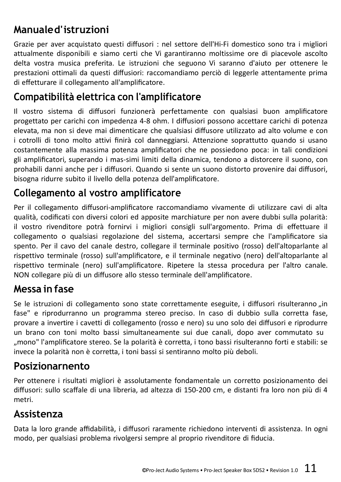# **Manualed'istruzioni**

Grazie per aver acquistato questi diffusori : nel settore dell'Hi-Fi domestico sono tra i migliori attualmente disponibili e siamo certi che Vi garantiranno moltissime ore di piacevole ascolto delta vostra musica preferita. Le istruzioni che seguono Vi saranno d'aiuto per ottenere le prestazioni ottimali da questi diffusiori: raccomandiamo perciò di leggerle attentamente prima di effetturare il collegamento all'amplificatore.

#### **Compatibilità elettrica con l'amplificatore**

Il vostro sistema di diffusori funzionerà perfettamente con qualsiasi buon amplificatore progettato per carichi con impedenza 4-8 ohm. I diffusiori possono accettare carichi di potenza elevata, ma non si deve mai dimenticare che qualsiasi diffusore utilizzato ad alto volume e con i cotrolli di tono molto attivi finirà col danneggiarsi. Attenzione soprattutto quando si usano costantemente alla massima potenza amplificatori che ne possiedono poca: in tali condizioni gli amplificatori, superando i mas-simi limiti della dinamica, tendono a distorcere il suono, con prohabili danni anche per i diffusori. Quando si sente un suono distorto provenire dai diffusori, bisogna ridurre subito il livello della potenza dell'amplificatore.

# **Collegamento al vostro amplificatore**

Per il collegamento diffusori-amplificatore raccomandiamo vivamente di utilizzare cavi di alta qualità, codificati con diversi colori ed apposite marchiature per non avere dubbi sulla polarità: il vostro rivenditore potrà fornirvi i migliori consigli sull'argomento. Prima di effettuare il collegamento o qualsiasi regolazione del sistema, accertarsi sempre che l'amplificatore sia spento. Per il cavo del canale destro, collegare il terminale positivo (rosso) dell'altoparlante al rispettivo terminale (rosso) sull'amplificatore, e il terminale negativo (nero) dell'altoparlante al rispettivo terminale (nero) sull'amplificatore. Ripetere la stessa procedura per l'altro canale. NON collegare più di un diffusore allo stesso terminale dell'amplificatore.

#### **Messa in fase**

Se le istruzioni di collegamento sono state correttamente eseguite, i diffusori risulteranno in fase" e riprodurranno un programma stereo preciso. In caso di dubbio sulla corretta fase, provare a invertire i cavetti di collegamento (rosso e nero) su uno solo dei diffusori e riprodurre un brano con toni molto bassi simultaneamente sui due canali, dopo aver commutato su "mono" l'amplificatore stereo. Se la polarità è corretta, i tono bassi risulteranno forti e stabili: se invece la polarità non è corretta, i toni bassi si sentiranno molto più deboli.

#### **Posizionarnento**

Per ottenere i risultati migliori è assolutamente fondamentale un corretto posizionamento dei diffusori: sullo scaffale di una libreria, ad altezza di 150-200 cm, e distanti fra loro non più di 4 metri.

#### **Assistenza**

Data la loro grande affidabilità, i diffusori raramente richiedono interventi di assistenza. In ogni modo, per qualsiasi problema rivolgersi sempre al proprio rivenditore di fiducia.